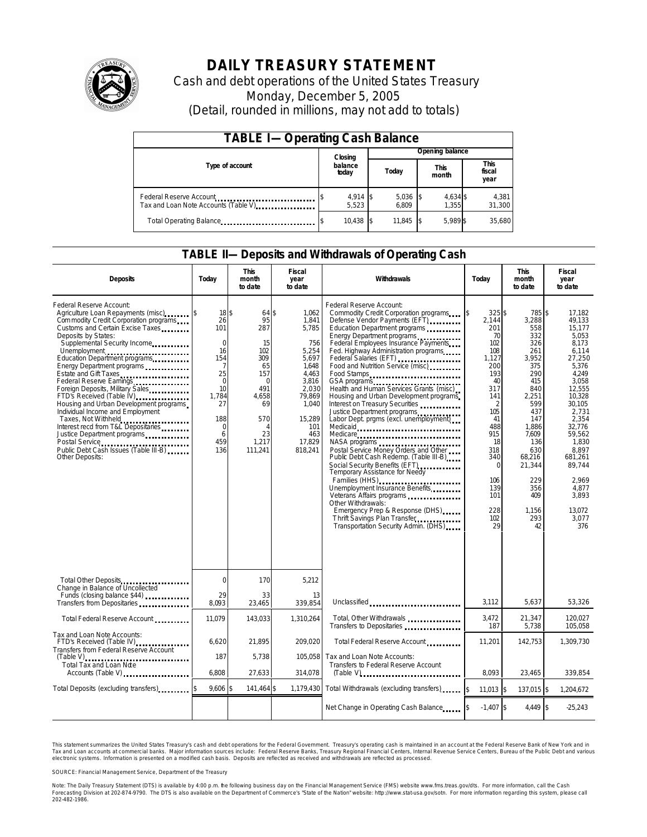

# **DAILY TREASURY STATEMENT**

Cash and debt operations of the United States Treasury Monday, December 5, 2005 (Detail, rounded in millions, may not add to totals)

| <b>TABLE I-Operating Cash Balance</b>                            |  |                   |  |                 |  |                      |  |                               |  |
|------------------------------------------------------------------|--|-------------------|--|-----------------|--|----------------------|--|-------------------------------|--|
| Type of account                                                  |  | Closing           |  | Opening balance |  |                      |  |                               |  |
|                                                                  |  | balance<br>today  |  | Today           |  | <b>This</b><br>month |  | <b>This</b><br>fiscal<br>year |  |
| Federal Reserve Account<br>Tax and Loan Note Accounts (Table V). |  | 4,914 \$<br>5,523 |  | 5,036<br>6.809  |  | 4,634 \$<br>1.355    |  | 4,381<br>31,300               |  |
| Total Operating Balance                                          |  | 10.438 \$         |  | 11.845          |  | 5.989 \$             |  | 35.680                        |  |

#### **TABLE II—Deposits and Withdrawals of Operating Cash**

| <b>Deposits</b>                                                                                                                                                                                                                                                                                                                                                                                                                                                                                                                                                                                                                                | Today                                                                                                                                         | <b>This</b><br>month<br>to date                                                                                            | <b>Fiscal</b><br>year<br>to date                                                                                                                     | Withdrawals                                                                                                                                                                                                                                                                                                                                                                                                                                                                                                                                                                                                                                                                                                                                                                                                                                                                                                                   | Today                                                                                                                                                                                                                          | <b>This</b><br>month<br>to date                                                                                                                                                                              | <b>Fiscal</b><br>year<br>to date                                                                                                                                                                                                                           |
|------------------------------------------------------------------------------------------------------------------------------------------------------------------------------------------------------------------------------------------------------------------------------------------------------------------------------------------------------------------------------------------------------------------------------------------------------------------------------------------------------------------------------------------------------------------------------------------------------------------------------------------------|-----------------------------------------------------------------------------------------------------------------------------------------------|----------------------------------------------------------------------------------------------------------------------------|------------------------------------------------------------------------------------------------------------------------------------------------------|-------------------------------------------------------------------------------------------------------------------------------------------------------------------------------------------------------------------------------------------------------------------------------------------------------------------------------------------------------------------------------------------------------------------------------------------------------------------------------------------------------------------------------------------------------------------------------------------------------------------------------------------------------------------------------------------------------------------------------------------------------------------------------------------------------------------------------------------------------------------------------------------------------------------------------|--------------------------------------------------------------------------------------------------------------------------------------------------------------------------------------------------------------------------------|--------------------------------------------------------------------------------------------------------------------------------------------------------------------------------------------------------------|------------------------------------------------------------------------------------------------------------------------------------------------------------------------------------------------------------------------------------------------------------|
| Federal Reserve Account:<br>Agriculture Loan Repayments (misc)<br>Commodity Credit Corporation programs<br>Customs and Certain Excise Taxes<br>Deposits by States:<br>Supplemental Security Income<br>Unemployment<br>Education Department programs<br>Energy Department programs<br>Estate and Gift Taxes<br>Federal Reserve Earnings<br>Foreign Deposits, Military Sales<br>FTD's Received (Table IV)<br>Housing and Urban Development programs<br>Individual Income and Employment<br>Taxes, Not Withheld<br>Interest recd from T&L Depositaries<br>Justice Department programs<br>Public Debt Cash Issues (Table III B)<br>Other Deposits: | $18\$<br>26<br>101<br>$\mathbf 0$<br>16<br>154<br>$\overline{7}$<br>25<br>$\Omega$<br>10<br>1,784<br>27<br>188<br>$\Omega$<br>6<br>459<br>136 | 64\$<br>95<br>287<br>15<br>102<br>309<br>65<br>157<br>$\Omega$<br>491<br>4,658<br>69<br>570<br>Δ<br>23<br>1,217<br>111,241 | 1.062<br>1,841<br>5,785<br>756<br>5,254<br>5,697<br>1.648<br>4.463<br>3.816<br>2.030<br>79,869<br>1,040<br>15,289<br>101<br>463<br>17,829<br>818,241 | Federal Reserve Account:<br>Commodity Credit Corporation programs<br>Defense Vendor Payments (EFT)<br>Education Department programs<br>Energy Department programs<br>Federal Employees Insurance Payments<br>Fed. Highway Administration programs<br>Food and Nutrition Service (misc)<br>Food Stamps<br>GSA programs<br>Health and Human Services Grants (misc)<br>Housing and Urban Development programs<br>Interest on Treasury Securities<br>Justice Department programs<br>Labor Dept. prgms (excl. unemployment)<br>Medicare<br>NASA programs<br>Postal Service Money Orders and Other<br>Public Debt Cash Redemp. (Table III-B)<br>Social Security Benefits (EFT)<br>Temporary Assistance for Needy<br>Families (HHS)<br>Unemployment Insurance Benefits<br>Veterans Affairs programs<br>Other Withdrawals:<br>Emergency Prep & Response (DHS)<br>Thrift Savings Plan Transfer<br>Transportation Security Admin. (DHS) | $325$ \$<br><sup>\$</sup><br>2,144<br>201<br>70<br>102<br>108<br>1,127<br>200<br>193<br>40<br>317<br>141<br>$\overline{2}$<br>105<br>41<br>488<br>915<br>18<br>318<br>340<br>$\Omega$<br>106<br>139<br>101<br>228<br>102<br>29 | 785\$<br>3,288<br>558<br>332<br>326<br>261<br>3,952<br>375<br>290<br>415<br>840<br>2,251<br>599<br>437<br>147<br>1,886<br>7.609<br>136<br>630<br>68,216<br>21,344<br>229<br>356<br>409<br>1.156<br>293<br>42 | 17.182<br>49,133<br>15,177<br>5.053<br>8,173<br>6.114<br>27,250<br>5.376<br>4.249<br>3.058<br>12.555<br>10,328<br>30.105<br>2,731<br>2.354<br>32.776<br>59.562<br>1.830<br>8.897<br>681,261<br>89,744<br>2.969<br>4,877<br>3.893<br>13.072<br>3.077<br>376 |
| Total Other Deposits<br>Change in Balance of Uncollected                                                                                                                                                                                                                                                                                                                                                                                                                                                                                                                                                                                       | $\Omega$                                                                                                                                      | 170                                                                                                                        | 5,212                                                                                                                                                |                                                                                                                                                                                                                                                                                                                                                                                                                                                                                                                                                                                                                                                                                                                                                                                                                                                                                                                               |                                                                                                                                                                                                                                |                                                                                                                                                                                                              |                                                                                                                                                                                                                                                            |
| Funds (closing balance \$44)<br>Transfers from Depositaries                                                                                                                                                                                                                                                                                                                                                                                                                                                                                                                                                                                    | 29<br>8,093                                                                                                                                   | 33<br>23,465                                                                                                               | 13<br>339,854                                                                                                                                        | Unclassified                                                                                                                                                                                                                                                                                                                                                                                                                                                                                                                                                                                                                                                                                                                                                                                                                                                                                                                  | 3,112                                                                                                                                                                                                                          | 5,637                                                                                                                                                                                                        | 53,326                                                                                                                                                                                                                                                     |
| Total Federal Reserve Account                                                                                                                                                                                                                                                                                                                                                                                                                                                                                                                                                                                                                  | 11,079                                                                                                                                        | 143,033                                                                                                                    | 1,310,264                                                                                                                                            | Total, Other Withdrawals<br>Transfers to Depositaries                                                                                                                                                                                                                                                                                                                                                                                                                                                                                                                                                                                                                                                                                                                                                                                                                                                                         | 3,472<br>187                                                                                                                                                                                                                   | 21,347<br>5,738                                                                                                                                                                                              | 120,027<br>105,058                                                                                                                                                                                                                                         |
| Tax and Loan Note Accounts:<br>FTD's Received (Table IV)<br>Transfers from Federal Reserve Account                                                                                                                                                                                                                                                                                                                                                                                                                                                                                                                                             | 6,620                                                                                                                                         | 21,895                                                                                                                     | 209.020                                                                                                                                              | Total Federal Reserve Account                                                                                                                                                                                                                                                                                                                                                                                                                                                                                                                                                                                                                                                                                                                                                                                                                                                                                                 | 11,201                                                                                                                                                                                                                         | 142,753                                                                                                                                                                                                      | 1.309.730                                                                                                                                                                                                                                                  |
| $(Table V)$<br>Total Tax and Loan Nde<br>Accounts (Table V)                                                                                                                                                                                                                                                                                                                                                                                                                                                                                                                                                                                    | 187<br>6.808                                                                                                                                  | 5,738<br>27,633                                                                                                            | 105.058<br>314,078                                                                                                                                   | Tax and Loan Note Accounts:<br>Transfers to Federal Reserve Account                                                                                                                                                                                                                                                                                                                                                                                                                                                                                                                                                                                                                                                                                                                                                                                                                                                           | 8.093                                                                                                                                                                                                                          | 23,465                                                                                                                                                                                                       | 339,854                                                                                                                                                                                                                                                    |
| Total Deposits (excluding transfers)                                                                                                                                                                                                                                                                                                                                                                                                                                                                                                                                                                                                           | $9,606$ \$                                                                                                                                    | 141,464 \$                                                                                                                 | 1,179,430                                                                                                                                            | Total Withdrawals (excluding transfers)                                                                                                                                                                                                                                                                                                                                                                                                                                                                                                                                                                                                                                                                                                                                                                                                                                                                                       | \$<br>$11,013$ \$                                                                                                                                                                                                              | 137,015 \$                                                                                                                                                                                                   | 1,204,672                                                                                                                                                                                                                                                  |
|                                                                                                                                                                                                                                                                                                                                                                                                                                                                                                                                                                                                                                                |                                                                                                                                               |                                                                                                                            |                                                                                                                                                      | Net Change in Operating Cash Balance                                                                                                                                                                                                                                                                                                                                                                                                                                                                                                                                                                                                                                                                                                                                                                                                                                                                                          | $-1.407$ \$                                                                                                                                                                                                                    | 4,449 \$                                                                                                                                                                                                     | $-25,243$                                                                                                                                                                                                                                                  |

This statement summarizes the United States Treasury's cash and debt operations for the Federal Government. Treasury's operating cash is maintained in an account at the Federal Reserve Bank of New York and in Tax and Loan accounts at commercial banks. Major information sources include: Federal Reserve Banks, Treasury Regional Financial Centers, Internal Revenue Service Centers, Bureau of the Public Debt and various<br>electronic s

SOURCE: Financial Management Service, Department of the Treasury

Note: The Daily Treasury Statement (DTS) is available by 4:00 p.m. he following business day on the Financial Management Service (FMS) website www.fms.treas.gov/dts.<br>Forecasting Division at 202-874-9790. The DTS is also av 'S) is available by 4:00 p.m. he following business day on the Financial Management Service (FMS) website www.fms.treas.gov/dts. For more information, call the Cash<br>The DTS is also available on the Department of Commerce's